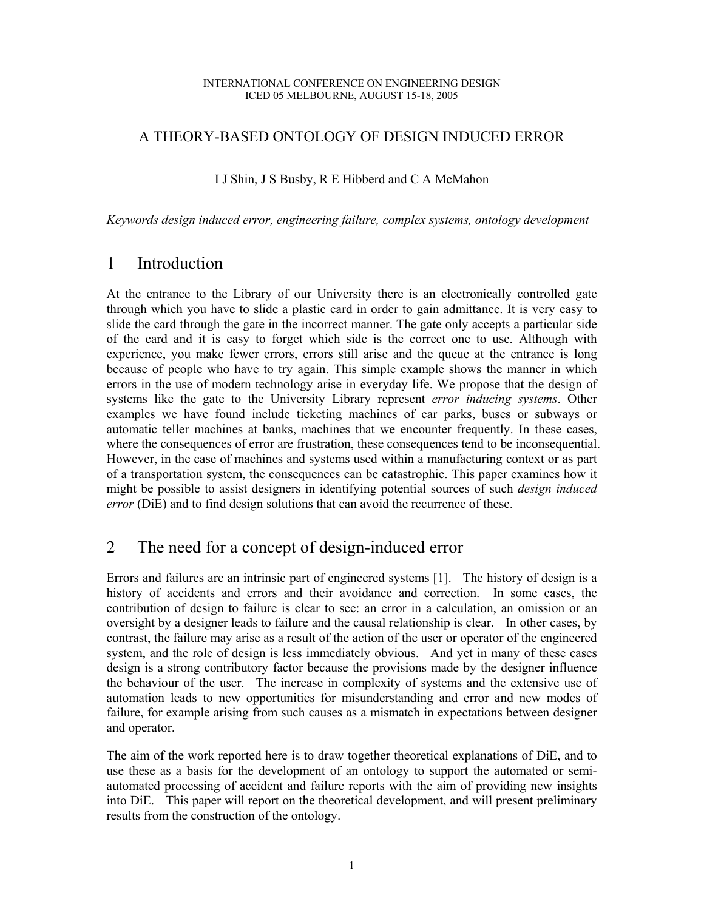#### INTERNATIONAL CONFERENCE ON ENGINEERING DESIGN ICED 05 MELBOURNE, AUGUST 15-18, 2005

#### A THEORY-BASED ONTOLOGY OF DESIGN INDUCED ERROR

#### I J Shin, J S Busby, R E Hibberd and C A McMahon

*Keywords design induced error, engineering failure, complex systems, ontology development* 

### 1 Introduction

At the entrance to the Library of our University there is an electronically controlled gate through which you have to slide a plastic card in order to gain admittance. It is very easy to slide the card through the gate in the incorrect manner. The gate only accepts a particular side of the card and it is easy to forget which side is the correct one to use. Although with experience, you make fewer errors, errors still arise and the queue at the entrance is long because of people who have to try again. This simple example shows the manner in which errors in the use of modern technology arise in everyday life. We propose that the design of systems like the gate to the University Library represent *error inducing systems*. Other examples we have found include ticketing machines of car parks, buses or subways or automatic teller machines at banks, machines that we encounter frequently. In these cases, where the consequences of error are frustration, these consequences tend to be inconsequential. However, in the case of machines and systems used within a manufacturing context or as part of a transportation system, the consequences can be catastrophic. This paper examines how it might be possible to assist designers in identifying potential sources of such *design induced error* (DiE) and to find design solutions that can avoid the recurrence of these.

## 2 The need for a concept of design-induced error

Errors and failures are an intrinsic part of engineered systems [1]. The history of design is a history of accidents and errors and their avoidance and correction. In some cases, the contribution of design to failure is clear to see: an error in a calculation, an omission or an oversight by a designer leads to failure and the causal relationship is clear. In other cases, by contrast, the failure may arise as a result of the action of the user or operator of the engineered system, and the role of design is less immediately obvious. And yet in many of these cases design is a strong contributory factor because the provisions made by the designer influence the behaviour of the user. The increase in complexity of systems and the extensive use of automation leads to new opportunities for misunderstanding and error and new modes of failure, for example arising from such causes as a mismatch in expectations between designer and operator.

The aim of the work reported here is to draw together theoretical explanations of DiE, and to use these as a basis for the development of an ontology to support the automated or semiautomated processing of accident and failure reports with the aim of providing new insights into DiE. This paper will report on the theoretical development, and will present preliminary results from the construction of the ontology.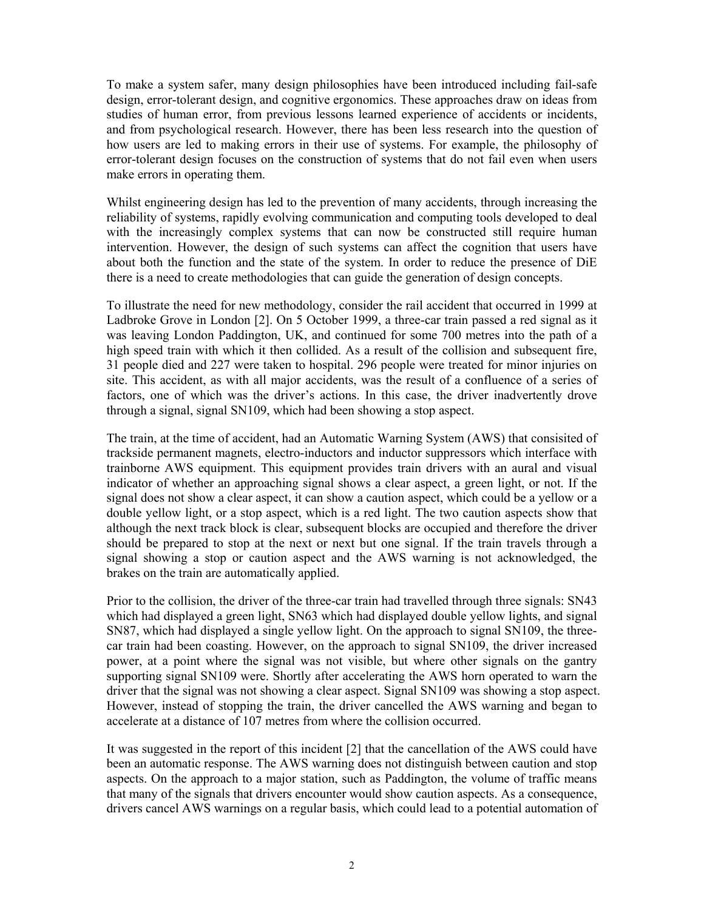To make a system safer, many design philosophies have been introduced including fail-safe design, error-tolerant design, and cognitive ergonomics. These approaches draw on ideas from studies of human error, from previous lessons learned experience of accidents or incidents, and from psychological research. However, there has been less research into the question of how users are led to making errors in their use of systems. For example, the philosophy of error-tolerant design focuses on the construction of systems that do not fail even when users make errors in operating them.

Whilst engineering design has led to the prevention of many accidents, through increasing the reliability of systems, rapidly evolving communication and computing tools developed to deal with the increasingly complex systems that can now be constructed still require human intervention. However, the design of such systems can affect the cognition that users have about both the function and the state of the system. In order to reduce the presence of DiE there is a need to create methodologies that can guide the generation of design concepts.

To illustrate the need for new methodology, consider the rail accident that occurred in 1999 at Ladbroke Grove in London [2]. On 5 October 1999, a three-car train passed a red signal as it was leaving London Paddington, UK, and continued for some 700 metres into the path of a high speed train with which it then collided. As a result of the collision and subsequent fire, 31 people died and 227 were taken to hospital. 296 people were treated for minor injuries on site. This accident, as with all major accidents, was the result of a confluence of a series of factors, one of which was the driver's actions. In this case, the driver inadvertently drove through a signal, signal SN109, which had been showing a stop aspect.

The train, at the time of accident, had an Automatic Warning System (AWS) that consisited of trackside permanent magnets, electro-inductors and inductor suppressors which interface with trainborne AWS equipment. This equipment provides train drivers with an aural and visual indicator of whether an approaching signal shows a clear aspect, a green light, or not. If the signal does not show a clear aspect, it can show a caution aspect, which could be a yellow or a double yellow light, or a stop aspect, which is a red light. The two caution aspects show that although the next track block is clear, subsequent blocks are occupied and therefore the driver should be prepared to stop at the next or next but one signal. If the train travels through a signal showing a stop or caution aspect and the AWS warning is not acknowledged, the brakes on the train are automatically applied.

Prior to the collision, the driver of the three-car train had travelled through three signals: SN43 which had displayed a green light, SN63 which had displayed double yellow lights, and signal SN87, which had displayed a single yellow light. On the approach to signal SN109, the threecar train had been coasting. However, on the approach to signal SN109, the driver increased power, at a point where the signal was not visible, but where other signals on the gantry supporting signal SN109 were. Shortly after accelerating the AWS horn operated to warn the driver that the signal was not showing a clear aspect. Signal SN109 was showing a stop aspect. However, instead of stopping the train, the driver cancelled the AWS warning and began to accelerate at a distance of 107 metres from where the collision occurred.

It was suggested in the report of this incident [2] that the cancellation of the AWS could have been an automatic response. The AWS warning does not distinguish between caution and stop aspects. On the approach to a major station, such as Paddington, the volume of traffic means that many of the signals that drivers encounter would show caution aspects. As a consequence, drivers cancel AWS warnings on a regular basis, which could lead to a potential automation of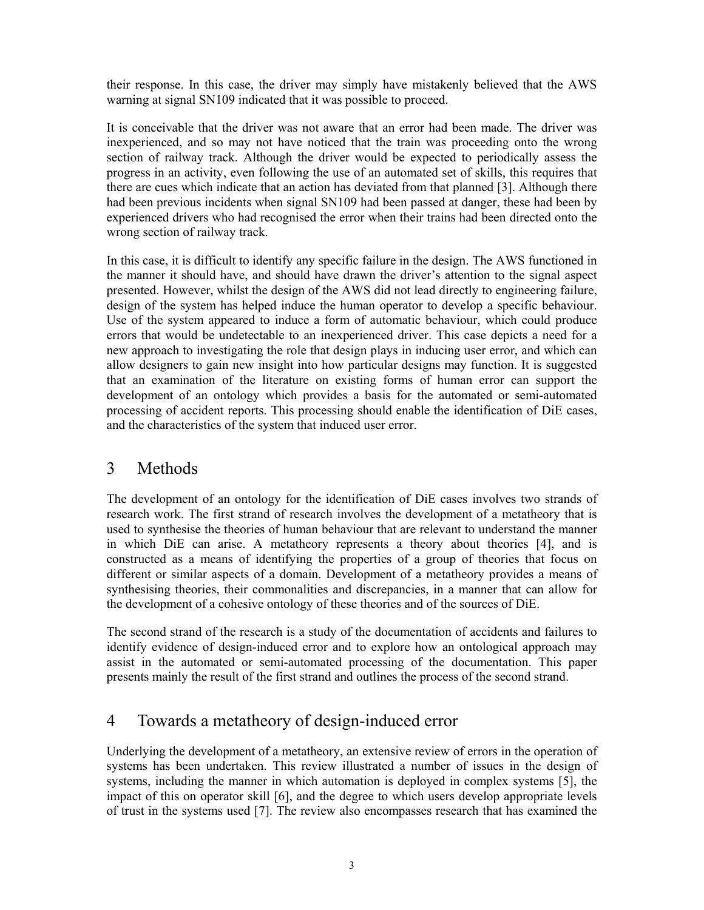their response. In this case, the driver may simply have mistakenly believed that the AWS warning at signal SN109 indicated that it was possible to proceed.

It is conceivable that the driver was not aware that an error had been made. The driver was inexperienced, and so may not have noticed that the train was proceeding onto the wrong section of railway track. Although the driver would be expected to periodically assess the progress in an activity, even following the use of an automated set of skills, this requires that there are cues which indicate that an action has deviated from that planned [3]. Although there had been previous incidents when signal SN109 had been passed at danger, these had been by experienced drivers who had recognised the error when their trains had been directed onto the wrong section of railway track.

In this case, it is difficult to identify any specific failure in the design. The AWS functioned in the manner it should have, and should have drawn the driver's attention to the signal aspect presented. However, whilst the design of the AWS did not lead directly to engineering failure, design of the system has helped induce the human operator to develop a specific behaviour. Use of the system appeared to induce a form of automatic behaviour, which could produce errors that would be undetectable to an inexperienced driver. This case depicts a need for a new approach to investigating the role that design plays in inducing user error, and which can allow designers to gain new insight into how particular designs may function. It is suggested that an examination of the literature on existing forms of human error can support the development of an ontology which provides a basis for the automated or semi-automated processing of accident reports. This processing should enable the identification of DiE cases, and the characteristics of the system that induced user error.

## 3 Methods

The development of an ontology for the identification of DiE cases involves two strands of research work. The first strand of research involves the development of a metatheory that is used to synthesise the theories of human behaviour that are relevant to understand the manner in which DiE can arise. A metatheory represents a theory about theories [4], and is constructed as a means of identifying the properties of a group of theories that focus on different or similar aspects of a domain. Development of a metatheory provides a means of synthesising theories, their commonalities and discrepancies, in a manner that can allow for the development of a cohesive ontology of these theories and of the sources of DiE.

The second strand of the research is a study of the documentation of accidents and failures to identify evidence of design-induced error and to explore how an ontological approach may assist in the automated or semi-automated processing of the documentation. This paper presents mainly the result of the first strand and outlines the process of the second strand.

## 4 Towards a metatheory of design-induced error

Underlying the development of a metatheory, an extensive review of errors in the operation of systems has been undertaken. This review illustrated a number of issues in the design of systems, including the manner in which automation is deployed in complex systems [5], the impact of this on operator skill [6], and the degree to which users develop appropriate levels of trust in the systems used [7]. The review also encompasses research that has examined the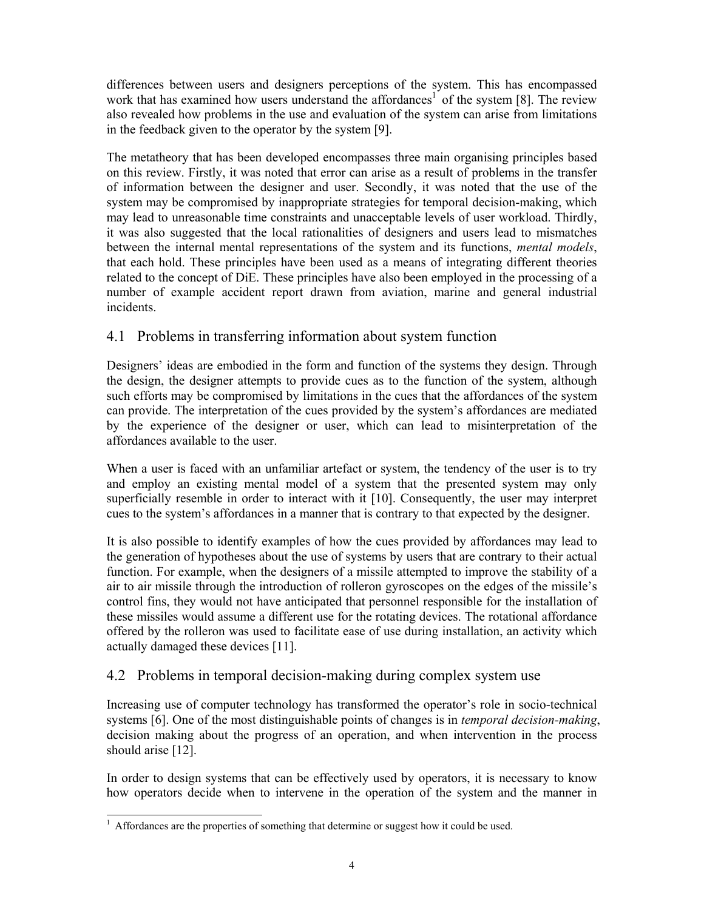differences between users and designers perceptions of the system. This has encompassed work that has examined how users understand the affordances<sup>1</sup> of the system [8]. The review also revealed how problems in the use and evaluation of the system can arise from limitations in the feedback given to the operator by the system [9].

The metatheory that has been developed encompasses three main organising principles based on this review. Firstly, it was noted that error can arise as a result of problems in the transfer of information between the designer and user. Secondly, it was noted that the use of the system may be compromised by inappropriate strategies for temporal decision-making, which may lead to unreasonable time constraints and unacceptable levels of user workload. Thirdly, it was also suggested that the local rationalities of designers and users lead to mismatches between the internal mental representations of the system and its functions, *mental models*, that each hold. These principles have been used as a means of integrating different theories related to the concept of DiE. These principles have also been employed in the processing of a number of example accident report drawn from aviation, marine and general industrial incidents.

### 4.1 Problems in transferring information about system function

Designers' ideas are embodied in the form and function of the systems they design. Through the design, the designer attempts to provide cues as to the function of the system, although such efforts may be compromised by limitations in the cues that the affordances of the system can provide. The interpretation of the cues provided by the system's affordances are mediated by the experience of the designer or user, which can lead to misinterpretation of the affordances available to the user.

When a user is faced with an unfamiliar artefact or system, the tendency of the user is to try and employ an existing mental model of a system that the presented system may only superficially resemble in order to interact with it [10]. Consequently, the user may interpret cues to the system's affordances in a manner that is contrary to that expected by the designer.

It is also possible to identify examples of how the cues provided by affordances may lead to the generation of hypotheses about the use of systems by users that are contrary to their actual function. For example, when the designers of a missile attempted to improve the stability of a air to air missile through the introduction of rolleron gyroscopes on the edges of the missile's control fins, they would not have anticipated that personnel responsible for the installation of these missiles would assume a different use for the rotating devices. The rotational affordance offered by the rolleron was used to facilitate ease of use during installation, an activity which actually damaged these devices [11].

### 4.2 Problems in temporal decision-making during complex system use

Increasing use of computer technology has transformed the operator's role in socio-technical systems [6]. One of the most distinguishable points of changes is in *temporal decision-making*, decision making about the progress of an operation, and when intervention in the process should arise [12].

In order to design systems that can be effectively used by operators, it is necessary to know how operators decide when to intervene in the operation of the system and the manner in

<sup>&</sup>lt;sup>1</sup> Affordances are the properties of something that determine or suggest how it could be used.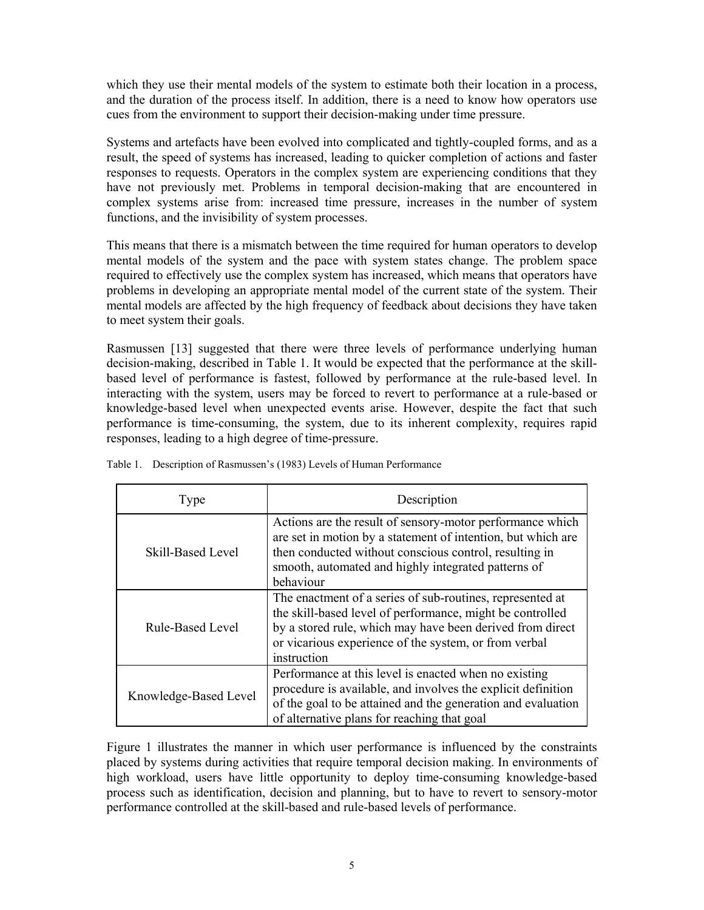which they use their mental models of the system to estimate both their location in a process, and the duration of the process itself. In addition, there is a need to know how operators use cues from the environment to support their decision-making under time pressure.

Systems and artefacts have been evolved into complicated and tightly-coupled forms, and as a result, the speed of systems has increased, leading to quicker completion of actions and faster responses to requests. Operators in the complex system are experiencing conditions that they have not previously met. Problems in temporal decision-making that are encountered in complex systems arise from: increased time pressure, increases in the number of system functions, and the invisibility of system processes.

This means that there is a mismatch between the time required for human operators to develop mental models of the system and the pace with system states change. The problem space required to effectively use the complex system has increased, which means that operators have problems in developing an appropriate mental model of the current state of the system. Their mental models are affected by the high frequency of feedback about decisions they have taken to meet system their goals.

Rasmussen [13] suggested that there were three levels of performance underlying human decision-making, described in Table 1. It would be expected that the performance at the skillbased level of performance is fastest, followed by performance at the rule-based level. In interacting with the system, users may be forced to revert to performance at a rule-based or knowledge-based level when unexpected events arise. However, despite the fact that such performance is time-consuming, the system, due to its inherent complexity, requires rapid responses, leading to a high degree of time-pressure.

| Type                    | Description                                                                                                                                                                                                                                                 |  |
|-------------------------|-------------------------------------------------------------------------------------------------------------------------------------------------------------------------------------------------------------------------------------------------------------|--|
| Skill-Based Level       | Actions are the result of sensory-motor performance which<br>are set in motion by a statement of intention, but which are<br>then conducted without conscious control, resulting in<br>smooth, automated and highly integrated patterns of<br>behaviour     |  |
| <b>Rule-Based Level</b> | The enactment of a series of sub-routines, represented at<br>the skill-based level of performance, might be controlled<br>by a stored rule, which may have been derived from direct<br>or vicarious experience of the system, or from verbal<br>instruction |  |
| Knowledge-Based Level   | Performance at this level is enacted when no existing<br>procedure is available, and involves the explicit definition<br>of the goal to be attained and the generation and evaluation<br>of alternative plans for reaching that goal                        |  |

|  | Table 1. Description of Rasmussen's (1983) Levels of Human Performance |
|--|------------------------------------------------------------------------|

Figure 1 illustrates the manner in which user performance is influenced by the constraints placed by systems during activities that require temporal decision making. In environments of high workload, users have little opportunity to deploy time-consuming knowledge-based process such as identification, decision and planning, but to have to revert to sensory-motor performance controlled at the skill-based and rule-based levels of performance.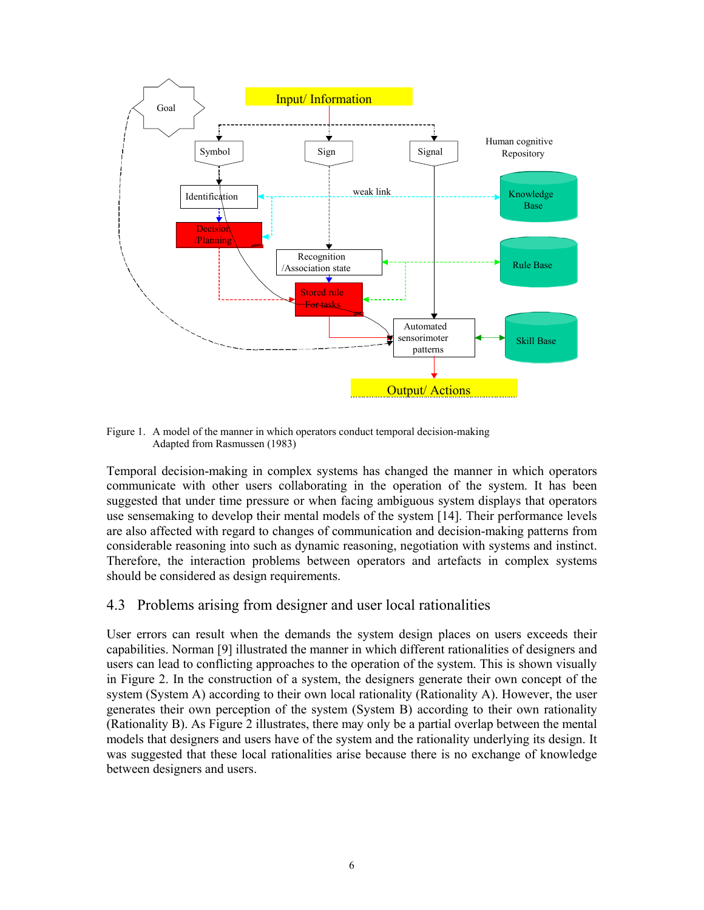

Figure 1. A model of the manner in which operators conduct temporal decision-making Adapted from Rasmussen (1983)

Temporal decision-making in complex systems has changed the manner in which operators communicate with other users collaborating in the operation of the system. It has been suggested that under time pressure or when facing ambiguous system displays that operators use sensemaking to develop their mental models of the system [14]. Their performance levels are also affected with regard to changes of communication and decision-making patterns from considerable reasoning into such as dynamic reasoning, negotiation with systems and instinct. Therefore, the interaction problems between operators and artefacts in complex systems should be considered as design requirements.

#### 4.3 Problems arising from designer and user local rationalities

User errors can result when the demands the system design places on users exceeds their capabilities. Norman [9] illustrated the manner in which different rationalities of designers and users can lead to conflicting approaches to the operation of the system. This is shown visually in Figure 2. In the construction of a system, the designers generate their own concept of the system (System A) according to their own local rationality (Rationality A). However, the user generates their own perception of the system (System B) according to their own rationality (Rationality B). As Figure 2 illustrates, there may only be a partial overlap between the mental models that designers and users have of the system and the rationality underlying its design. It was suggested that these local rationalities arise because there is no exchange of knowledge between designers and users.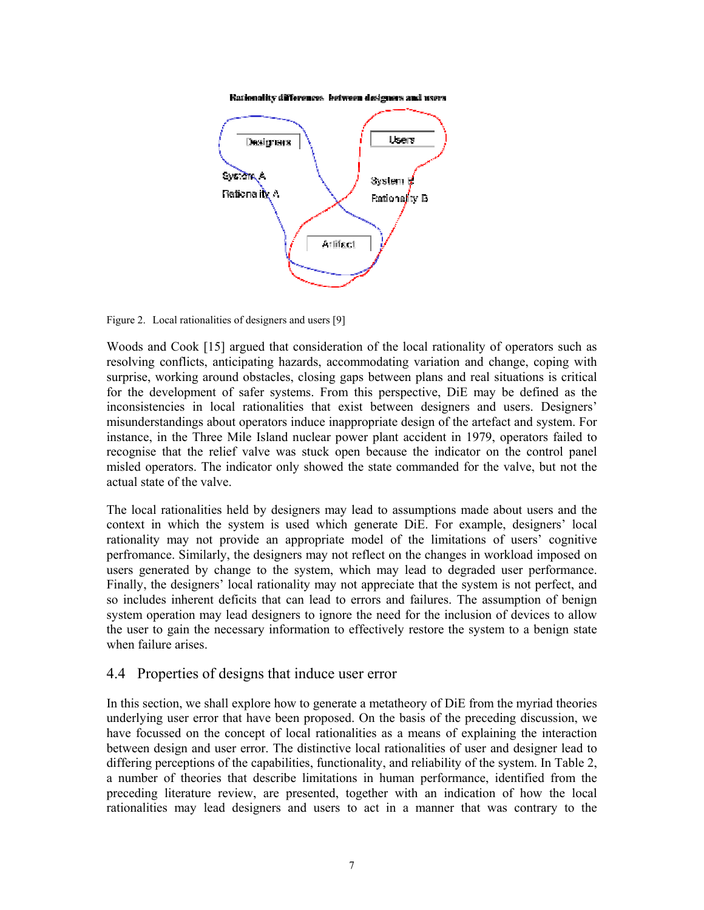Rationality differences between designers and users



Figure 2. Local rationalities of designers and users [9]

Woods and Cook [15] argued that consideration of the local rationality of operators such as resolving conflicts, anticipating hazards, accommodating variation and change, coping with surprise, working around obstacles, closing gaps between plans and real situations is critical for the development of safer systems. From this perspective, DiE may be defined as the inconsistencies in local rationalities that exist between designers and users. Designers' misunderstandings about operators induce inappropriate design of the artefact and system. For instance, in the Three Mile Island nuclear power plant accident in 1979, operators failed to recognise that the relief valve was stuck open because the indicator on the control panel misled operators. The indicator only showed the state commanded for the valve, but not the actual state of the valve.

The local rationalities held by designers may lead to assumptions made about users and the context in which the system is used which generate DiE. For example, designers' local rationality may not provide an appropriate model of the limitations of users' cognitive perfromance. Similarly, the designers may not reflect on the changes in workload imposed on users generated by change to the system, which may lead to degraded user performance. Finally, the designers' local rationality may not appreciate that the system is not perfect, and so includes inherent deficits that can lead to errors and failures. The assumption of benign system operation may lead designers to ignore the need for the inclusion of devices to allow the user to gain the necessary information to effectively restore the system to a benign state when failure arises.

#### 4.4 Properties of designs that induce user error

In this section, we shall explore how to generate a metatheory of DiE from the myriad theories underlying user error that have been proposed. On the basis of the preceding discussion, we have focussed on the concept of local rationalities as a means of explaining the interaction between design and user error. The distinctive local rationalities of user and designer lead to differing perceptions of the capabilities, functionality, and reliability of the system. In Table 2, a number of theories that describe limitations in human performance, identified from the preceding literature review, are presented, together with an indication of how the local rationalities may lead designers and users to act in a manner that was contrary to the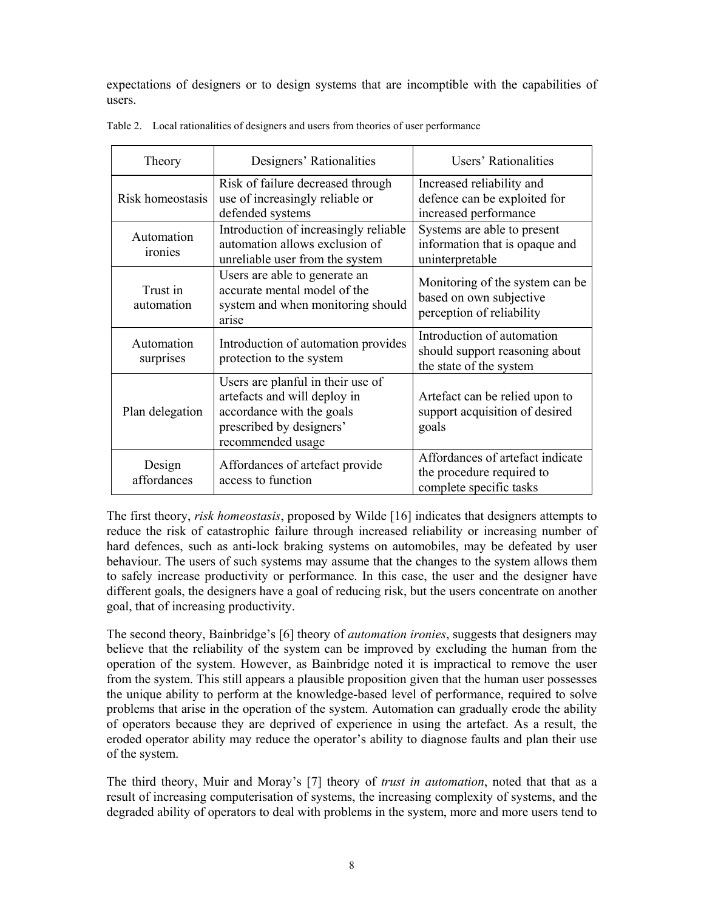expectations of designers or to design systems that are incomptible with the capabilities of users.

| Theory                  | Designers' Rationalities                                                                                                                        | Users' Rationalities                                                                     |  |
|-------------------------|-------------------------------------------------------------------------------------------------------------------------------------------------|------------------------------------------------------------------------------------------|--|
| Risk homeostasis        | Risk of failure decreased through<br>use of increasingly reliable or<br>defended systems                                                        | Increased reliability and<br>defence can be exploited for<br>increased performance       |  |
| Automation<br>ironies   | Introduction of increasingly reliable<br>automation allows exclusion of<br>unreliable user from the system                                      | Systems are able to present<br>information that is opaque and<br>uninterpretable         |  |
| Trust in<br>automation  | Users are able to generate an<br>accurate mental model of the<br>system and when monitoring should<br>arise                                     | Monitoring of the system can be<br>based on own subjective<br>perception of reliability  |  |
| Automation<br>surprises | Introduction of automation provides<br>protection to the system                                                                                 | Introduction of automation<br>should support reasoning about<br>the state of the system  |  |
| Plan delegation         | Users are planful in their use of<br>artefacts and will deploy in<br>accordance with the goals<br>prescribed by designers'<br>recommended usage | Artefact can be relied upon to<br>support acquisition of desired<br>goals                |  |
| Design<br>affordances   | Affordances of artefact provide<br>access to function                                                                                           | Affordances of artefact indicate<br>the procedure required to<br>complete specific tasks |  |

Table 2. Local rationalities of designers and users from theories of user performance

The first theory, *risk homeostasis*, proposed by Wilde [16] indicates that designers attempts to reduce the risk of catastrophic failure through increased reliability or increasing number of hard defences, such as anti-lock braking systems on automobiles, may be defeated by user behaviour. The users of such systems may assume that the changes to the system allows them to safely increase productivity or performance. In this case, the user and the designer have different goals, the designers have a goal of reducing risk, but the users concentrate on another goal, that of increasing productivity.

The second theory, Bainbridge's [6] theory of *automation ironies*, suggests that designers may believe that the reliability of the system can be improved by excluding the human from the operation of the system. However, as Bainbridge noted it is impractical to remove the user from the system. This still appears a plausible proposition given that the human user possesses the unique ability to perform at the knowledge-based level of performance, required to solve problems that arise in the operation of the system. Automation can gradually erode the ability of operators because they are deprived of experience in using the artefact. As a result, the eroded operator ability may reduce the operator's ability to diagnose faults and plan their use of the system.

The third theory, Muir and Moray's [7] theory of *trust in automation*, noted that that as a result of increasing computerisation of systems, the increasing complexity of systems, and the degraded ability of operators to deal with problems in the system, more and more users tend to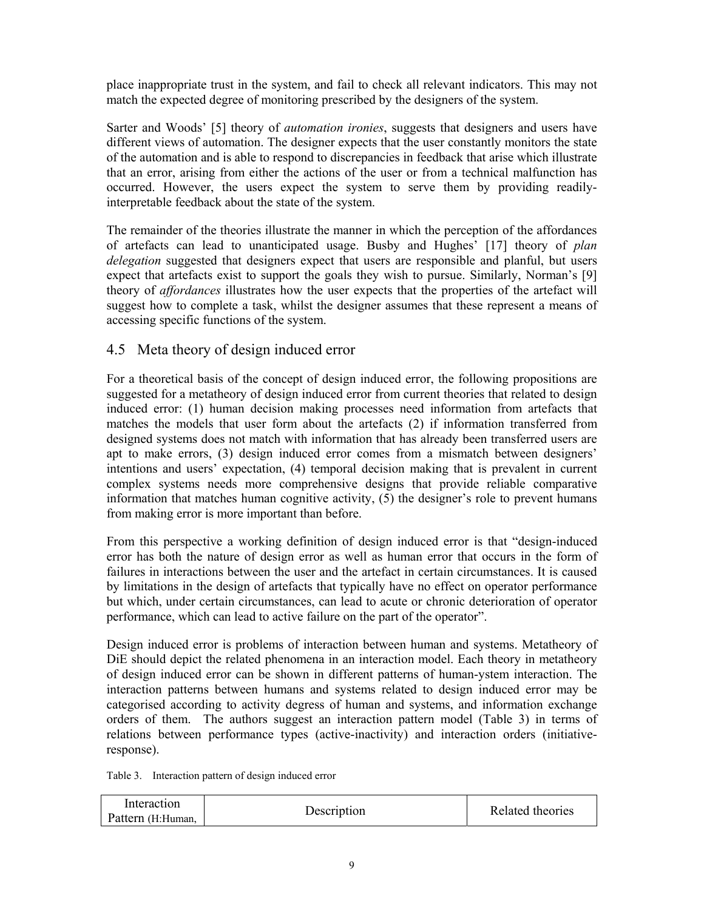place inappropriate trust in the system, and fail to check all relevant indicators. This may not match the expected degree of monitoring prescribed by the designers of the system.

Sarter and Woods' [5] theory of *automation ironies*, suggests that designers and users have different views of automation. The designer expects that the user constantly monitors the state of the automation and is able to respond to discrepancies in feedback that arise which illustrate that an error, arising from either the actions of the user or from a technical malfunction has occurred. However, the users expect the system to serve them by providing readilyinterpretable feedback about the state of the system.

The remainder of the theories illustrate the manner in which the perception of the affordances of artefacts can lead to unanticipated usage. Busby and Hughes' [17] theory of *plan delegation* suggested that designers expect that users are responsible and planful, but users expect that artefacts exist to support the goals they wish to pursue. Similarly, Norman's [9] theory of *affordances* illustrates how the user expects that the properties of the artefact will suggest how to complete a task, whilst the designer assumes that these represent a means of accessing specific functions of the system.

### 4.5 Meta theory of design induced error

For a theoretical basis of the concept of design induced error, the following propositions are suggested for a metatheory of design induced error from current theories that related to design induced error: (1) human decision making processes need information from artefacts that matches the models that user form about the artefacts (2) if information transferred from designed systems does not match with information that has already been transferred users are apt to make errors, (3) design induced error comes from a mismatch between designers' intentions and users' expectation, (4) temporal decision making that is prevalent in current complex systems needs more comprehensive designs that provide reliable comparative information that matches human cognitive activity, (5) the designer's role to prevent humans from making error is more important than before.

From this perspective a working definition of design induced error is that "design-induced error has both the nature of design error as well as human error that occurs in the form of failures in interactions between the user and the artefact in certain circumstances. It is caused by limitations in the design of artefacts that typically have no effect on operator performance but which, under certain circumstances, can lead to acute or chronic deterioration of operator performance, which can lead to active failure on the part of the operator".

Design induced error is problems of interaction between human and systems. Metatheory of DiE should depict the related phenomena in an interaction model. Each theory in metatheory of design induced error can be shown in different patterns of human-ystem interaction. The interaction patterns between humans and systems related to design induced error may be categorised according to activity degress of human and systems, and information exchange orders of them. The authors suggest an interaction pattern model (Table 3) in terms of relations between performance types (active-inactivity) and interaction orders (initiativeresponse).

Table 3. Interaction pattern of design induced error

Interaction Pattern (H:Human, Description Related theories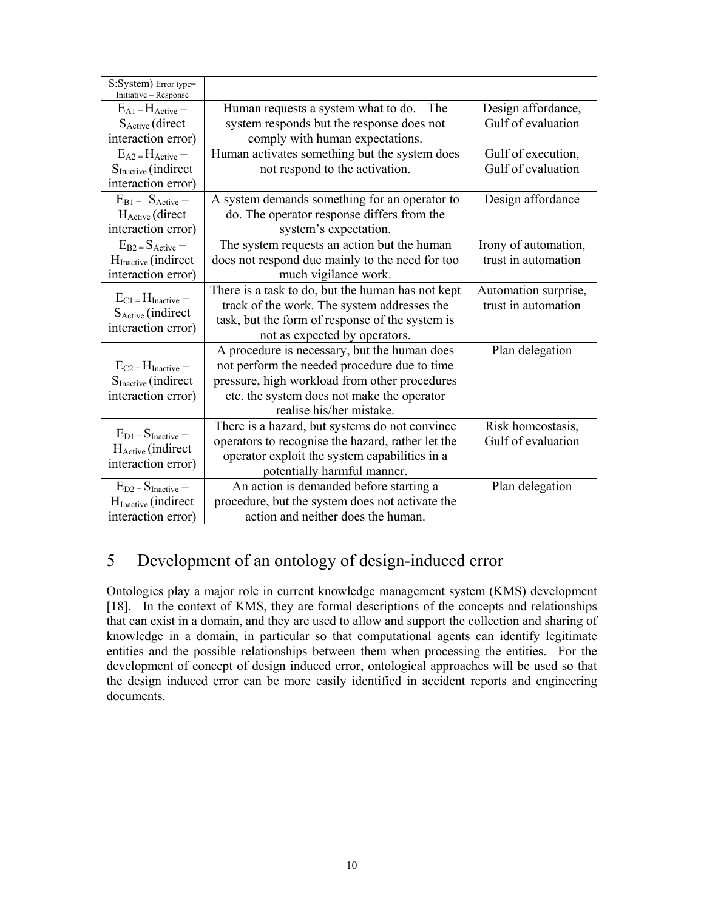| S:System) Error type=<br>Initiative - Response           |                                                   |                      |
|----------------------------------------------------------|---------------------------------------------------|----------------------|
| $E_{A1} = H_{Active} -$                                  | Human requests a system what to do.<br>The        | Design affordance,   |
| S <sub>Active</sub> (direct                              | system responds but the response does not         |                      |
| interaction error)                                       | comply with human expectations.                   |                      |
| $E_{A2} = H_{Active} -$                                  | Human activates something but the system does     | Gulf of execution,   |
| S <sub>Inactive</sub> (indirect                          | not respond to the activation.                    |                      |
| interaction error)                                       |                                                   |                      |
| $E_{B1} = S_{Active} -$                                  | A system demands something for an operator to     | Design affordance    |
| $H_{\text{Active}}$ (direct                              | do. The operator response differs from the        |                      |
| interaction error)                                       | system's expectation.                             |                      |
| $E_{B2} = S_{Active} -$                                  | The system requests an action but the human       | Irony of automation, |
| H <sub>Inactive</sub> (indirect                          | does not respond due mainly to the need for too   | trust in automation  |
| interaction error)                                       | much vigilance work.                              |                      |
| $E_{C1} = H_{Inactive}$<br>S <sub>Active</sub> (indirect | There is a task to do, but the human has not kept | Automation surprise, |
|                                                          | track of the work. The system addresses the       | trust in automation  |
| interaction error)                                       | task, but the form of response of the system is   |                      |
|                                                          | not as expected by operators.                     |                      |
|                                                          | A procedure is necessary, but the human does      | Plan delegation      |
| $E_{C2} = H_{Inactive}$ –                                | not perform the needed procedure due to time      |                      |
| $SInactive$ (indirect                                    | pressure, high workload from other procedures     |                      |
| interaction error)                                       | etc. the system does not make the operator        |                      |
|                                                          | realise his/her mistake.                          |                      |
| $E_{D1} = S_{Inactive}$ –                                | There is a hazard, but systems do not convince    | Risk homeostasis,    |
| H <sub>Active</sub> (indirect                            | operators to recognise the hazard, rather let the | Gulf of evaluation   |
| interaction error)                                       | operator exploit the system capabilities in a     |                      |
|                                                          | potentially harmful manner.                       |                      |
| $E_{D2} = S_{Inactive}$ –                                | An action is demanded before starting a           | Plan delegation      |
| $HInactive$ (indirect                                    | procedure, but the system does not activate the   |                      |
| interaction error)                                       | action and neither does the human.                |                      |

# 5 Development of an ontology of design-induced error

Ontologies play a major role in current knowledge management system (KMS) development [18]. In the context of KMS, they are formal descriptions of the concepts and relationships that can exist in a domain, and they are used to allow and support the collection and sharing of knowledge in a domain, in particular so that computational agents can identify legitimate entities and the possible relationships between them when processing the entities. For the development of concept of design induced error, ontological approaches will be used so that the design induced error can be more easily identified in accident reports and engineering documents.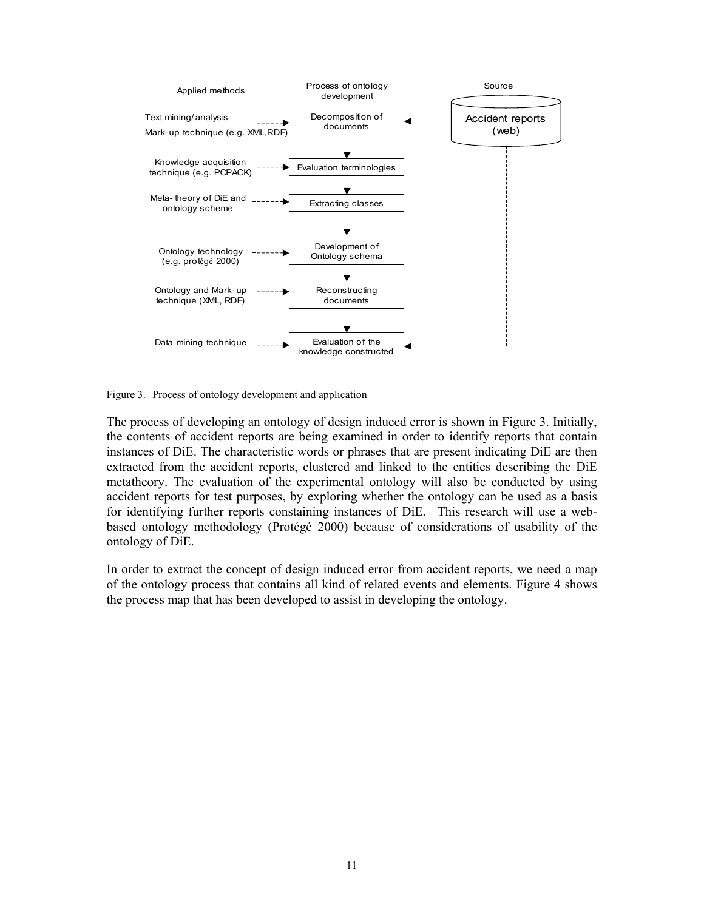

Figure 3. Process of ontology development and application

The process of developing an ontology of design induced error is shown in Figure 3. Initially, the contents of accident reports are being examined in order to identify reports that contain instances of DiE. The characteristic words or phrases that are present indicating DiE are then extracted from the accident reports, clustered and linked to the entities describing the DiE metatheory. The evaluation of the experimental ontology will also be conducted by using accident reports for test purposes, by exploring whether the ontology can be used as a basis for identifying further reports constaining instances of DiE. This research will use a webbased ontology methodology (Protégé 2000) because of considerations of usability of the ontology of DiE.

In order to extract the concept of design induced error from accident reports, we need a map of the ontology process that contains all kind of related events and elements. Figure 4 shows the process map that has been developed to assist in developing the ontology.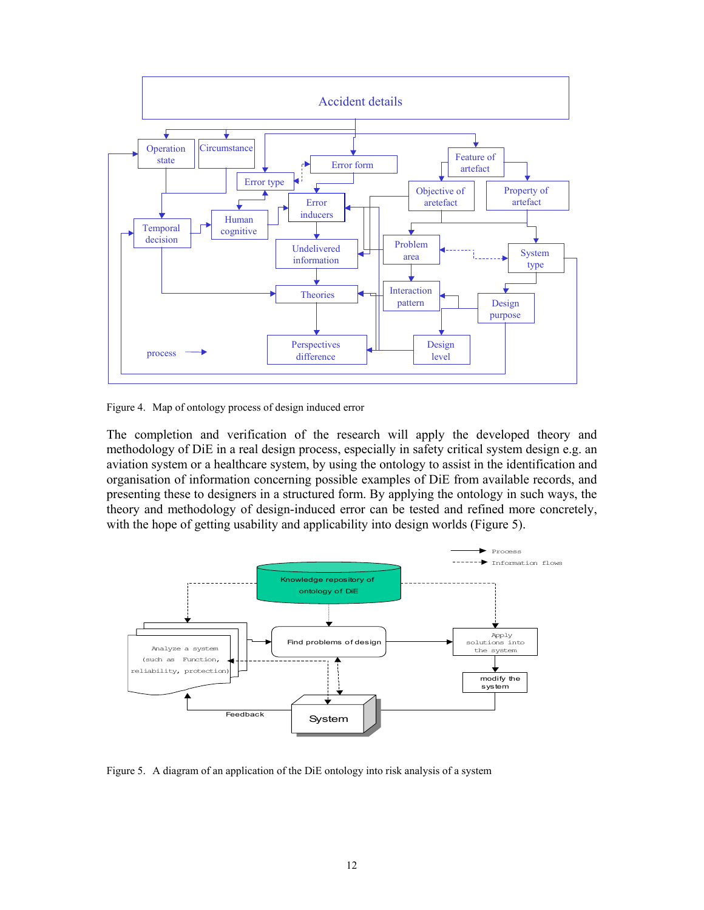

Figure 4. Map of ontology process of design induced error

The completion and verification of the research will apply the developed theory and methodology of DiE in a real design process, especially in safety critical system design e.g. an aviation system or a healthcare system, by using the ontology to assist in the identification and organisation of information concerning possible examples of DiE from available records, and presenting these to designers in a structured form. By applying the ontology in such ways, the theory and methodology of design-induced error can be tested and refined more concretely, with the hope of getting usability and applicability into design worlds (Figure 5).



Figure 5. A diagram of an application of the DiE ontology into risk analysis of a system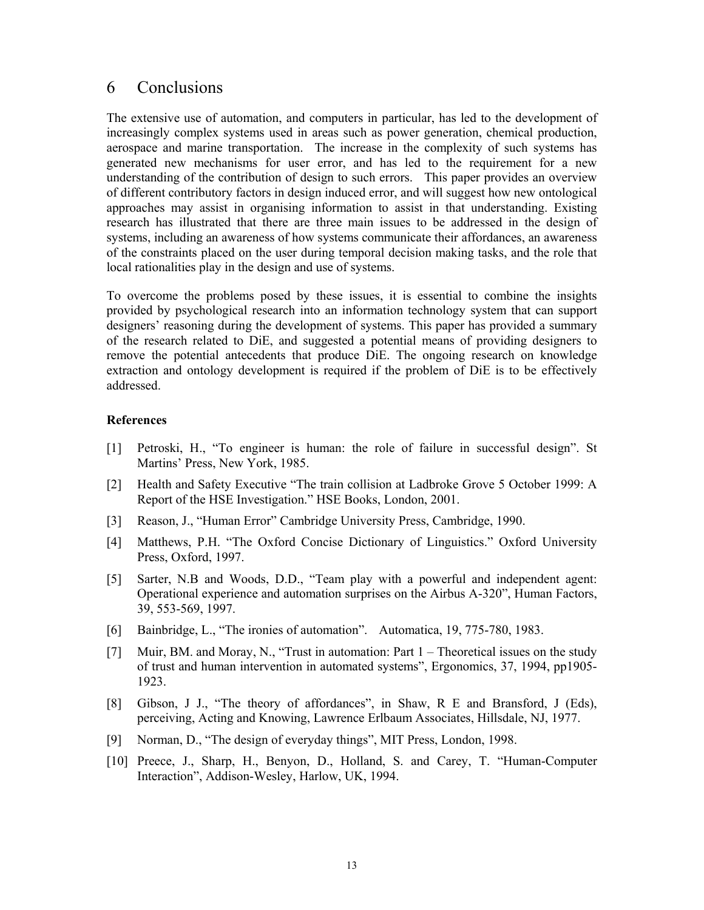### 6 Conclusions

The extensive use of automation, and computers in particular, has led to the development of increasingly complex systems used in areas such as power generation, chemical production, aerospace and marine transportation. The increase in the complexity of such systems has generated new mechanisms for user error, and has led to the requirement for a new understanding of the contribution of design to such errors. This paper provides an overview of different contributory factors in design induced error, and will suggest how new ontological approaches may assist in organising information to assist in that understanding. Existing research has illustrated that there are three main issues to be addressed in the design of systems, including an awareness of how systems communicate their affordances, an awareness of the constraints placed on the user during temporal decision making tasks, and the role that local rationalities play in the design and use of systems.

To overcome the problems posed by these issues, it is essential to combine the insights provided by psychological research into an information technology system that can support designers' reasoning during the development of systems. This paper has provided a summary of the research related to DiE, and suggested a potential means of providing designers to remove the potential antecedents that produce DiE. The ongoing research on knowledge extraction and ontology development is required if the problem of DiE is to be effectively addressed.

#### **References**

- [1] Petroski, H., "To engineer is human: the role of failure in successful design". St Martins' Press, New York, 1985.
- [2] Health and Safety Executive "The train collision at Ladbroke Grove 5 October 1999: A Report of the HSE Investigation." HSE Books, London, 2001.
- [3] Reason, J., "Human Error" Cambridge University Press, Cambridge, 1990.
- [4] Matthews, P.H. "The Oxford Concise Dictionary of Linguistics." Oxford University Press, Oxford, 1997.
- [5] Sarter, N.B and Woods, D.D., "Team play with a powerful and independent agent: Operational experience and automation surprises on the Airbus A-320", Human Factors, 39, 553-569, 1997.
- [6] Bainbridge, L., "The ironies of automation". Automatica, 19, 775-780, 1983.
- [7] Muir, BM. and Moray, N., "Trust in automation: Part 1 Theoretical issues on the study of trust and human intervention in automated systems", Ergonomics, 37, 1994, pp1905- 1923.
- [8] Gibson, J J., "The theory of affordances", in Shaw, R E and Bransford, J (Eds), perceiving, Acting and Knowing, Lawrence Erlbaum Associates, Hillsdale, NJ, 1977.
- [9] Norman, D., "The design of everyday things", MIT Press, London, 1998.
- [10] Preece, J., Sharp, H., Benyon, D., Holland, S. and Carey, T. "Human-Computer Interaction", Addison-Wesley, Harlow, UK, 1994.